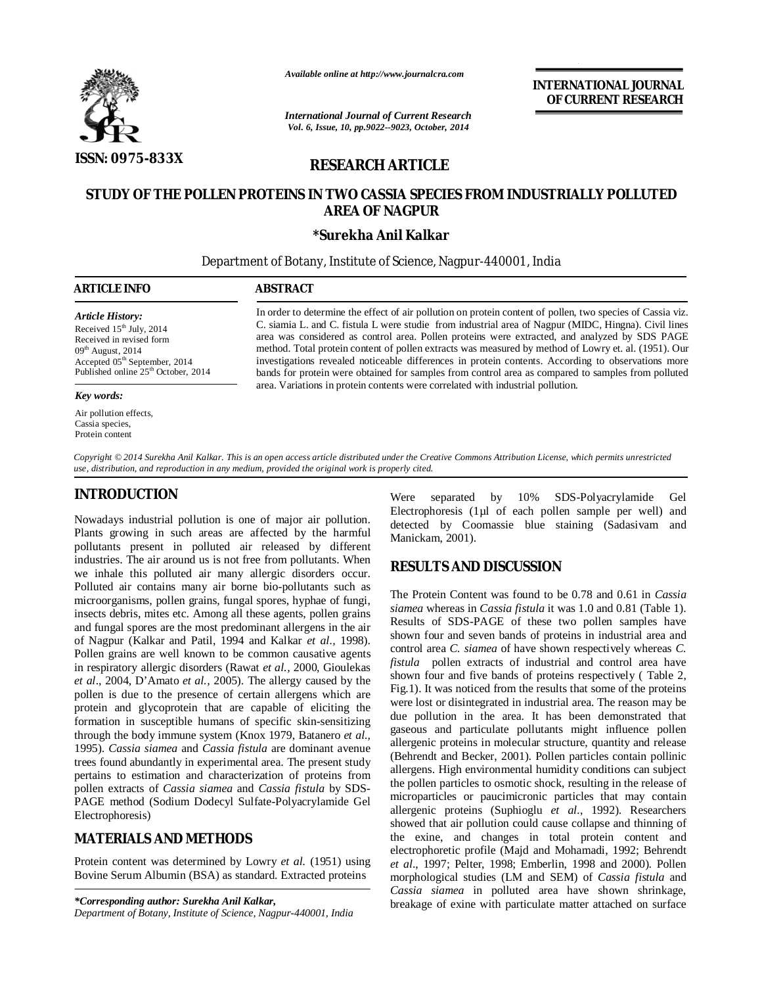

*Available online at http://www.journalcra.com*

*International Journal of Current Research Vol. 6, Issue, 10, pp.9022--9023, October, 2014*

**INTERNATIONAL JOURNAL OF CURRENT RESEARCH** 

# **RESEARCH ARTICLE**

# **STUDY OF THE POLLEN PROTEINS IN TWO CASSIA SPECIES FROM INDUSTRIALLY POLLUTED AREA OF NAGPUR**

#### **\*Surekha Anil Kalkar**

Department of Botany, Institute of Science, Nagpur-440001, India

#### j **ARTICLE INFO ABSTRACT** In order to determine the effect of air pollution on protein content of pollen, two species of Cassia viz. C. siamia L. and C. fistula L were studie from industrial area of Nagpur (MIDC, Hingna). Civil lines area was considered as control area. Pollen proteins were extracted, and analyzed by SDS PAGE method. Total protein content of pollen extracts was measured by method of Lowry et. al. (1951). Our investigations revealed noticeable differences in protein contents. According to observations more bands for protein were obtained for samples from control area as compared to samples from polluted area. Variations in protein contents were correlated with industrial pollution. *Article History:* Received 15<sup>th</sup> July, 2014 Received in revised form  $09<sup>th</sup>$  August, 2014 Accepted 05<sup>th</sup> September, 2014 Published online 25<sup>th</sup> October, 2014 *Key words:*

*Copyright © 2014 Surekha Anil Kalkar. This is an open access article distributed under the Creative Commons Attribution License, which permits unrestricted use, distribution, and reproduction in any medium, provided the original work is properly cited.*

# **INTRODUCTION**

Air pollution effects, Cassia species, Protein content

Nowadays industrial pollution is one of major air pollution. Plants growing in such areas are affected by the harmful pollutants present in polluted air released by different industries. The air around us is not free from pollutants. When we inhale this polluted air many allergic disorders occur. Polluted air contains many air borne bio-pollutants such as microorganisms, pollen grains, fungal spores, hyphae of fungi, insects debris, mites etc. Among all these agents, pollen grains and fungal spores are the most predominant allergens in the air of Nagpur (Kalkar and Patil, 1994 and Kalkar *et al.,* 1998). Pollen grains are well known to be common causative agents in respiratory allergic disorders (Rawat *et al.,* 2000, Gioulekas *et al*., 2004, D'Amato *et al.,* 2005). The allergy caused by the pollen is due to the presence of certain allergens which are protein and glycoprotein that are capable of eliciting the formation in susceptible humans of specific skin-sensitizing through the body immune system (Knox 1979, Batanero *et al.,* 1995). *Cassia siamea* and *Cassia fistula* are dominant avenue trees found abundantly in experimental area. The present study pertains to estimation and characterization of proteins from pollen extracts of *Cassia siamea* and *Cassia fistula* by SDS-PAGE method (Sodium Dodecyl Sulfate-Polyacrylamide Gel Electrophoresis)

### **MATERIALS AND METHODS**

Protein content was determined by Lowry *et al.* (1951) using Bovine Serum Albumin (BSA) as standard. Extracted proteins

*\*Corresponding author: Surekha Anil Kalkar, Department of Botany, Institute of Science, Nagpur-440001, India*

Were separated by 10% SDS-Polyacrylamide Gel Electrophoresis (1µl of each pollen sample per well) and detected by Coomassie blue staining (Sadasivam and Manickam, 2001).

### **RESULTS AND DISCUSSION**

The Protein Content was found to be 0.78 and 0.61 in *Cassia siamea* whereas in *Cassia fistula* it was 1.0 and 0.81 (Table 1). Results of SDS-PAGE of these two pollen samples have shown four and seven bands of proteins in industrial area and control area *C. siamea* of have shown respectively whereas *C. fistula* pollen extracts of industrial and control area have shown four and five bands of proteins respectively ( Table 2, Fig.1). It was noticed from the results that some of the proteins were lost or disintegrated in industrial area. The reason may be due pollution in the area. It has been demonstrated that gaseous and particulate pollutants might influence pollen allergenic proteins in molecular structure, quantity and release (Behrendt and Becker, 2001). Pollen particles contain pollinic allergens. High environmental humidity conditions can subject the pollen particles to osmotic shock, resulting in the release of microparticles or paucimicronic particles that may contain allergenic proteins (Suphioglu *et al.*, 1992). Researchers showed that air pollution could cause collapse and thinning of the exine, and changes in total protein content and electrophoretic profile (Majd and Mohamadi, 1992; Behrendt *et al*., 1997; Pelter, 1998; Emberlin, 1998 and 2000). Pollen morphological studies (LM and SEM) of *Cassia fistula* and *Cassia siamea* in polluted area have shown shrinkage, breakage of exine with particulate matter attached on surface